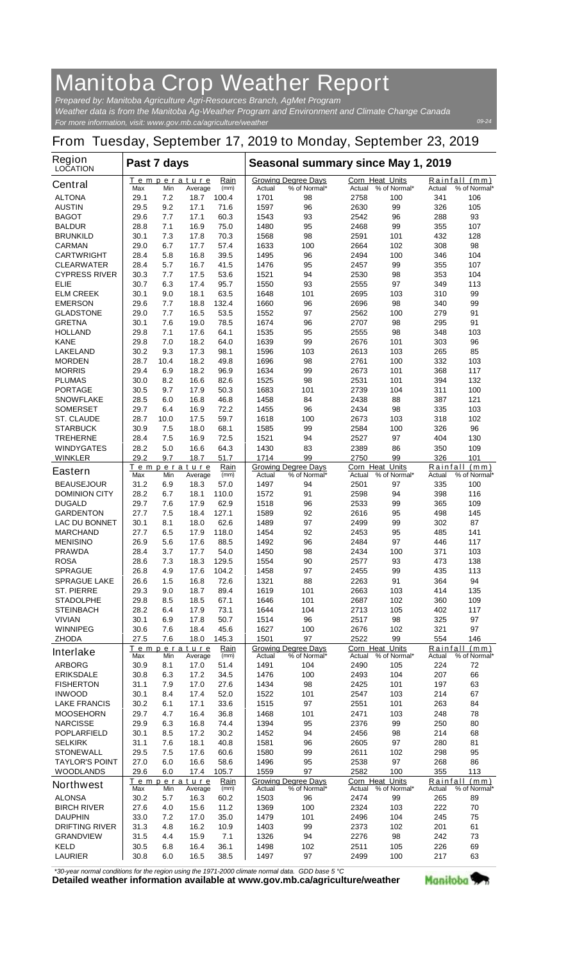## **Manitoba Crop Weather Report**

*For more information, visit: www.gov.mb.ca/agriculture/weather Prepared by: Manitoba Agriculture Agri-Resources Branch, AgMet Program Weather data is from the Manitoba Ag-Weather Program and Environment and Climate Change Canada*

## **From Tuesday, September 17, 2019 to Monday, September 23, 2019**

| <b>Region</b><br><b>LOCATION</b>          | Past 7 days  |            |                               |               | Seasonal summary since May 1, 2019 |                                            |                                  |                     |                    |                               |
|-------------------------------------------|--------------|------------|-------------------------------|---------------|------------------------------------|--------------------------------------------|----------------------------------|---------------------|--------------------|-------------------------------|
| <b>Central</b>                            | Max          | Min        | <b>Temperature</b><br>Average | Rain<br>(mm)  | Actual                             | <b>Growing Degree Days</b><br>% of Normal* | <b>Corn Heat Units</b><br>Actual | % of Normal*        | Actual             | Rainfall (mm)<br>% of Normal* |
| <b>ALTONA</b>                             | 29.1         | 7.2        | 18.7                          | 100.4         | 1701                               | 98                                         | 2758                             | 100                 | 341                | 106                           |
| <b>AUSTIN</b>                             | 29.5         | 9.2        | 17.1                          | 71.6          | 1597                               | 96                                         | 2630                             | 99                  | 326                | 105                           |
| <b>BAGOT</b>                              | 29.6         | 7.7        | 17.1                          | 60.3          | 1543                               | 93                                         | 2542                             | 96                  | 288                | 93                            |
| <b>BALDUR</b>                             | 28.8         | 7.1        | 16.9                          | 75.0          | 1480                               | 95                                         | 2468                             | 99                  | 355                | 107                           |
| <b>BRUNKILD</b><br><b>CARMAN</b>          | 30.1<br>29.0 | 7.3<br>6.7 | 17.8<br>17.7                  | 70.3<br>57.4  | 1568<br>1633                       | 98<br>100                                  | 2591<br>2664                     | 101<br>102          | 432<br>308         | 128<br>98                     |
| <b>CARTWRIGHT</b>                         | 28.4         | 5.8        | 16.8                          | 39.5          | 1495                               | 96                                         | 2494                             | 100                 | 346                | 104                           |
| <b>CLEARWATER</b>                         | 28.4         | 5.7        | 16.7                          | 41.5          | 1476                               | 95                                         | 2457                             | 99                  | 355                | 107                           |
| <b>CYPRESS RIVER</b>                      | 30.3         | 7.7        | 17.5                          | 53.6          | 1521                               | 94                                         | 2530                             | 98                  | 353                | 104                           |
| <b>ELIE</b>                               | 30.7         | 6.3        | 17.4                          | 95.7          | 1550                               | 93                                         | 2555                             | 97                  | 349                | 113                           |
| <b>ELM CREEK</b>                          | 30.1         | 9.0        | 18.1                          | 63.5          | 1648                               | 101                                        | 2695                             | 103                 | 310                | 99                            |
| <b>EMERSON</b><br><b>GLADSTONE</b>        | 29.6<br>29.0 | 7.7<br>7.7 | 18.8<br>16.5                  | 132.4<br>53.5 | 1660<br>1552                       | 96<br>97                                   | 2696<br>2562                     | 98<br>100           | 340<br>279         | 99<br>91                      |
| <b>GRETNA</b>                             | 30.1         | 7.6        | 19.0                          | 78.5          | 1674                               | 96                                         | 2707                             | 98                  | 295                | 91                            |
| <b>HOLLAND</b>                            | 29.8         | 7.1        | 17.6                          | 64.1          | 1535                               | 95                                         | 2555                             | 98                  | 348                | 103                           |
| <b>KANE</b>                               | 29.8         | 7.0        | 18.2                          | 64.0          | 1639                               | 99                                         | 2676                             | 101                 | 303                | 96                            |
| <b>LAKELAND</b>                           | 30.2         | 9.3        | 17.3                          | 98.1          | 1596                               | 103                                        | 2613                             | 103                 | 265                | 85                            |
| <b>MORDEN</b>                             | 28.7         | 10.4       | 18.2                          | 49.8          | 1696                               | 98                                         | 2761                             | 100                 | 332                | 103                           |
| <b>MORRIS</b>                             | 29.4         | 6.9        | 18.2                          | 96.9          | 1634                               | 99                                         | 2673                             | 101                 | 368                | 117                           |
| <b>PLUMAS</b><br><b>PORTAGE</b>           | 30.0<br>30.5 | 8.2<br>9.7 | 16.6<br>17.9                  | 82.6<br>50.3  | 1525<br>1683                       | 98<br>101                                  | 2531<br>2739                     | 101<br>104          | 394<br>311         | 132<br>100                    |
| <b>SNOWFLAKE</b>                          | 28.5         | 6.0        | 16.8                          | 46.8          | 1458                               | 84                                         | 2438                             | 88                  | 387                | 121                           |
| <b>SOMERSET</b>                           | 29.7         | 6.4        | 16.9                          | 72.2          | 1455                               | 96                                         | 2434                             | 98                  | 335                | 103                           |
| <b>ST. CLAUDE</b>                         | 28.7         | 10.0       | 17.5                          | 59.7          | 1618                               | 100                                        | 2673                             | 103                 | 318                | 102                           |
| <b>STARBUCK</b>                           | 30.9         | 7.5        | 18.0                          | 68.1          | 1585                               | 99                                         | 2584                             | 100                 | 326                | 96                            |
| <b>TREHERNE</b>                           | 28.4         | 7.5        | 16.9                          | 72.5          | 1521                               | 94                                         | 2527                             | 97                  | 404                | 130                           |
| <b>WINDYGATES</b>                         | 28.2         | 5.0        | 16.6                          | 64.3          | 1430                               | 83                                         | 2389                             | 86                  | 350                | 109                           |
| <b>WINKLER</b>                            | 29.2         | 9.7        | 18.7<br>Temperature           | 51.7<br>Rain  | 1714                               | 99                                         | 2750<br><b>Corn Heat Units</b>   | 99                  | 326                | 101<br>Rainfall (mm)          |
| <b>Eastern</b>                            | Max          | Min        | Average                       | (mm)          | Actual                             | <b>Growing Degree Days</b><br>% of Normal* | Actual                           | % of Normal*        | Actual             | % of Normal*                  |
| <b>BEAUSEJOUR</b>                         | 31.2         | 6.9        | 18.3                          | 57.0          | 1497                               | 94                                         | 2501                             | 97                  | 335                | 100                           |
| <b>DOMINION CITY</b>                      | 28.2         | 6.7        | 18.1                          | 110.0         | 1572                               | 91                                         | 2598                             | 94                  | 398                | 116                           |
| <b>DUGALD</b>                             | 29.7         | 7.6        | 17.9                          | 62.9          | 1518                               | 96                                         | 2533                             | 99                  | 365                | 109                           |
| <b>GARDENTON</b>                          | 27.7<br>30.1 | 7.5<br>8.1 | 18.4                          | 127.1<br>62.6 | 1589<br>1489                       | 92<br>97                                   | 2616                             | 95<br>99            | 498                | 145                           |
| <b>LAC DU BONNET</b><br><b>MARCHAND</b>   | 27.7         | 6.5        | 18.0<br>17.9                  | 118.0         | 1454                               | 92                                         | 2499<br>2453                     | 95                  | 302<br>485         | 87<br>141                     |
| <b>MENISINO</b>                           | 26.9         | 5.6        | 17.6                          | 88.5          | 1492                               | 96                                         | 2484                             | 97                  | 446                | 117                           |
| <b>PRAWDA</b>                             | 28.4         | 3.7        | 17.7                          | 54.0          | 1450                               | 98                                         | 2434                             | 100                 | 371                | 103                           |
| <b>ROSA</b>                               | 28.6         | 7.3        | 18.3                          | 129.5         | 1554                               | 90                                         | 2577                             | 93                  | 473                | 138                           |
| <b>SPRAGUE</b>                            | 26.8         | 4.9        | 17.6                          | 104.2         | 1458                               | 97                                         | 2455                             | 99                  | 435                | 113                           |
| <b>SPRAGUE LAKE</b>                       | 26.6         | 1.5        | 16.8                          | 72.6          | 1321                               | 88                                         | 2263                             | 91                  | 364                | 94                            |
| <b>ST. PIERRE</b><br><b>STADOLPHE</b>     | 29.3<br>29.8 | 9.0<br>8.5 | 18.7<br>18.5                  | 89.4<br>67.1  | 1619<br>1646                       | 101<br>101                                 | 2663<br>2687                     | 103<br>102          | 414<br>360         | 135<br>109                    |
| <b>STEINBACH</b>                          | 28.2         | 6.4        | 17.9                          | 73.1          | 1644                               | 104                                        | 2713                             | 105                 | 402                | 117                           |
| <b>VIVIAN</b>                             | 30.1         | 6.9        | 17.8                          | 50.7          | 1514                               | 96                                         | 2517                             | 98                  | 325                | 97                            |
| <b>WINNIPEG</b>                           | 30.6         | 7.6        | 18.4                          | 45.6          | 1627                               | 100                                        | 2676                             | 102                 | 321                | 97                            |
| <b>ZHODA</b>                              | 27.5         | 7.6        | 18.0                          | 145.3         | 1501                               | 97                                         | 2522                             | 99                  | 554                | 146                           |
| <b>Interlake</b>                          |              |            | Temperature                   | Rain<br>(mm)  |                                    | <b>Growing Degree Days</b><br>% of Normal* | <b>Corn Heat Units</b><br>Actual |                     |                    | Rainfall (mm)<br>% of Normal* |
| <b>ARBORG</b>                             | Max<br>30.9  | Min<br>8.1 | Average<br>17.0               | 51.4          | Actual<br>1491                     | 104                                        | 2490                             | % of Normal*<br>105 | Actual<br>224      | 72                            |
| <b>ERIKSDALE</b>                          | 30.8         | 6.3        | 17.2                          | 34.5          | 1476                               | 100                                        | 2493                             | 104                 | 207                | 66                            |
| <b>FISHERTON</b>                          | 31.1         | 7.9        | 17.0                          | 27.6          | 1434                               | 98                                         | 2425                             | 101                 | 197                | 63                            |
| <b>INWOOD</b>                             | 30.1         | 8.4        | 17.4                          | 52.0          | 1522                               | 101                                        | 2547                             | 103                 | 214                | 67                            |
| <b>LAKE FRANCIS</b>                       | 30.2         | 6.1        | 17.1                          | 33.6          | 1515                               | 97                                         | 2551                             | 101                 | 263                | 84                            |
| <b>MOOSEHORN</b>                          | 29.7         | 4.7        | 16.4                          | 36.8          | 1468                               | 101                                        | 2471                             | 103                 | 248                | 78                            |
| <b>NARCISSE</b><br><b>POPLARFIELD</b>     | 29.9<br>30.1 | 6.3<br>8.5 | 16.8<br>17.2                  | 74.4<br>30.2  | 1394<br>1452                       | 95<br>94                                   | 2376<br>2456                     | 99<br>98            | 250<br>214         | 80<br>68                      |
| <b>SELKIRK</b>                            | 31.1         | 7.6        | 18.1                          | 40.8          | 1581                               | 96                                         | 2605                             | 97                  | 280                | 81                            |
| <b>STONEWALL</b>                          | 29.5         | 7.5        | 17.6                          | 60.6          | 1580                               | 99                                         | 2611                             | 102                 | 298                | 95                            |
| <b>TAYLOR'S POINT</b>                     | 27.0         | 6.0        | 16.6                          | 58.6          | 1496                               | 95                                         | 2538                             | 97                  | 268                | 86                            |
| <b>WOODLANDS</b>                          | 29.6         | 6.0        | 17.4                          | 105.7         | 1559                               | 97                                         | 2582                             | 100                 | 355                | 113                           |
| <b>Northwest</b>                          | Max          | Min        | Temperature<br>Average        | Rain<br>(mm)  | Actual                             | <b>Growing Degree Days</b><br>% of Normal* | Corn Heat Units<br>Actual        | % of Normal*        | Rainfall<br>Actual | (mm)<br>% of Normal*          |
| <b>ALONSA</b>                             | 30.2         | 5.7        | 16.3                          | 60.2          | 1503                               | 96                                         | 2474                             | 99                  | 265                | 89                            |
| <b>BIRCH RIVER</b>                        | 27.6         | 4.0        | 15.6                          | 11.2          | 1369                               | 100                                        | 2324                             | 103                 | 222                | 70                            |
| <b>DAUPHIN</b>                            | 33.0         | 7.2        | 17.0                          | 35.0          | 1479                               | 101                                        | 2496                             | 104                 | 245                | 75                            |
| <b>DRIFTING RIVER</b><br><b>GRANDVIEW</b> | 31.3<br>31.5 | 4.8<br>4.4 | 16.2<br>15.9                  | 10.9<br>7.1   | 1403<br>1326                       | 99<br>94                                   | 2373<br>2276                     | 102<br>98           | 201<br>242         | 61<br>73                      |
| <b>KELD</b>                               | 30.5         | 6.8        | 16.4                          | 36.1          | 1498                               | 102                                        | 2511                             | 105                 | 226                | 69                            |
| <b>LAURIER</b>                            | 30.8         | 6.0        | 16.5                          | 38.5          | 1497                               | 97                                         | 2499                             | 100                 | 217                | 63                            |

*\*30-year normal conditions for the region using the 1971-2000 climate normal data. GDD base 5 °C*<br>Detailed weather information available at www.gov.mb.ca/agriculture/weather

Manitoba<sup>9</sup>